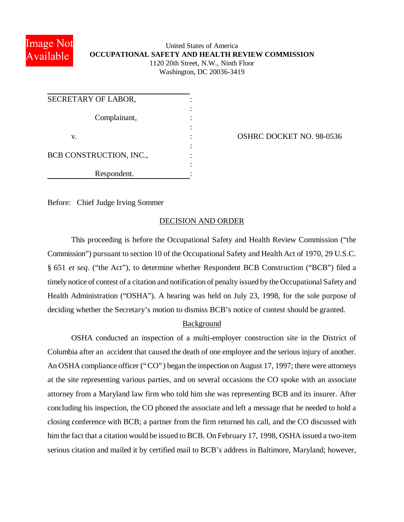

# United States of America **OCCUPATIONAL SAFETY AND HEALTH REVIEW COMMISSION** 1120 20th Street, N.W., Ninth Floor Washington, DC 20036-3419

| SECRETARY OF LABOR,     |  |
|-------------------------|--|
| Complainant,            |  |
| V.                      |  |
|                         |  |
| BCB CONSTRUCTION, INC., |  |
| Respondent.             |  |

OSHRC DOCKET NO. 98-0536

Before: Chief Judge Irving Sommer

### DECISION AND ORDER

This proceeding is before the Occupational Safety and Health Review Commission ("the Commission") pursuant to section 10 of the Occupational Safety and Health Act of 1970, 29 U.S.C. § 651 *et seq*. ("the Act"), to determine whether Respondent BCB Construction ("BCB") filed a timely notice of contest of a citation and notification of penalty issued by the Occupational Safety and Health Administration ("OSHA"). A hearing was held on July 23, 1998, for the sole purpose of deciding whether the Secretary's motion to dismiss BCB's notice of contest should be granted.

# Background

OSHA conducted an inspection of a multi-employer construction site in the District of Columbia after an accident that caused the death of one employee and the serious injury of another. An OSHA compliance officer ("CO") began the inspection on August 17, 1997; there were attorneys at the site representing various parties, and on several occasions the CO spoke with an associate attorney from a Maryland law firm who told him she was representing BCB and its insurer. After concluding his inspection, the CO phoned the associate and left a message that he needed to hold a closing conference with BCB; a partner from the firm returned his call, and the CO discussed with him the fact that a citation would be issued to BCB. On February 17, 1998, OSHA issued a two-item serious citation and mailed it by certified mail to BCB's address in Baltimore, Maryland; however,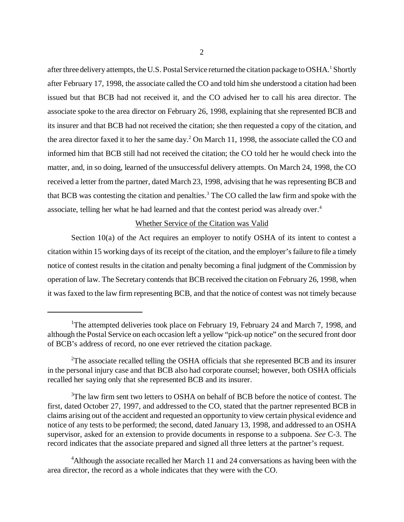after three delivery attempts, the U.S. Postal Service returned the citation package to OSHA.<sup>1</sup> Shortly after February 17, 1998, the associate called the CO and told him she understood a citation had been issued but that BCB had not received it, and the CO advised her to call his area director. The associate spoke to the area director on February 26, 1998, explaining that she represented BCB and its insurer and that BCB had not received the citation; she then requested a copy of the citation, and the area director faxed it to her the same day.<sup>2</sup> On March 11, 1998, the associate called the CO and informed him that BCB still had not received the citation; the CO told her he would check into the matter, and, in so doing, learned of the unsuccessful delivery attempts. On March 24, 1998, the CO received a letter from the partner, dated March 23, 1998, advising that he was representing BCB and that BCB was contesting the citation and penalties.<sup>3</sup> The CO called the law firm and spoke with the associate, telling her what he had learned and that the contest period was already over.<sup>4</sup>

#### Whether Service of the Citation was Valid

Section 10(a) of the Act requires an employer to notify OSHA of its intent to contest a citation within 15 working days of its receipt of the citation, and the employer's failure to file a timely notice of contest results in the citation and penalty becoming a final judgment of the Commission by operation of law. The Secretary contends that BCB received the citation on February 26, 1998, when it was faxed to the law firm representing BCB, and that the notice of contest was not timely because

<sup>&</sup>lt;sup>1</sup>The attempted deliveries took place on February 19, February 24 and March 7, 1998, and although the Postal Service on each occasion left a yellow "pick-up notice" on the secured front door of BCB's address of record, no one ever retrieved the citation package.

<sup>&</sup>lt;sup>2</sup>The associate recalled telling the OSHA officials that she represented BCB and its insurer in the personal injury case and that BCB also had corporate counsel; however, both OSHA officials recalled her saying only that she represented BCB and its insurer.

<sup>&</sup>lt;sup>3</sup>The law firm sent two letters to OSHA on behalf of BCB before the notice of contest. The first, dated October 27, 1997, and addressed to the CO, stated that the partner represented BCB in claims arising out of the accident and requested an opportunity to view certain physical evidence and notice of any tests to be performed; the second, dated January 13, 1998, and addressed to an OSHA supervisor, asked for an extension to provide documents in response to a subpoena. *See* C-3. The record indicates that the associate prepared and signed all three letters at the partner's request.

<sup>&</sup>lt;sup>4</sup>Although the associate recalled her March 11 and 24 conversations as having been with the area director, the record as a whole indicates that they were with the CO.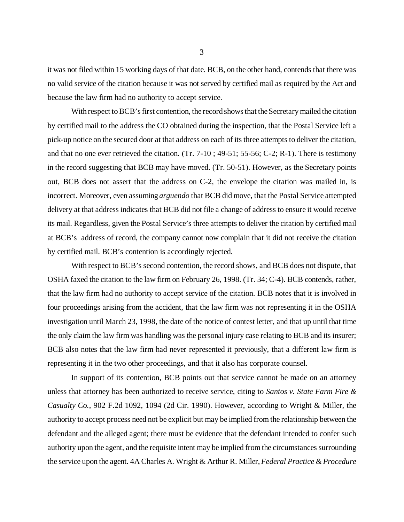it was not filed within 15 working days of that date. BCB, on the other hand, contends that there was no valid service of the citation because it was not served by certified mail as required by the Act and because the law firm had no authority to accept service.

With respect to BCB's first contention, the record shows that the Secretary mailed the citation by certified mail to the address the CO obtained during the inspection, that the Postal Service left a pick-up notice on the secured door at that address on each of its three attempts to deliver the citation, and that no one ever retrieved the citation. (Tr.  $7-10$ ;  $49-51$ ;  $55-56$ ; C-2; R-1). There is testimony in the record suggesting that BCB may have moved. (Tr. 50-51). However, as the Secretary points out, BCB does not assert that the address on C-2, the envelope the citation was mailed in, is incorrect. Moreover, even assuming *arguendo* that BCB did move, that the Postal Service attempted delivery at that address indicates that BCB did not file a change of address to ensure it would receive its mail. Regardless, given the Postal Service's three attempts to deliver the citation by certified mail at BCB's address of record, the company cannot now complain that it did not receive the citation by certified mail. BCB's contention is accordingly rejected.

With respect to BCB's second contention, the record shows, and BCB does not dispute, that OSHA faxed the citation to the law firm on February 26, 1998. (Tr. 34; C-4). BCB contends, rather, that the law firm had no authority to accept service of the citation. BCB notes that it is involved in four proceedings arising from the accident, that the law firm was not representing it in the OSHA investigation until March 23, 1998, the date of the notice of contest letter, and that up until that time the only claim the law firm was handling was the personal injury case relating to BCB and its insurer; BCB also notes that the law firm had never represented it previously, that a different law firm is representing it in the two other proceedings, and that it also has corporate counsel.

In support of its contention, BCB points out that service cannot be made on an attorney unless that attorney has been authorized to receive service, citing to *Santos v. State Farm Fire & Casualty Co.*, 902 F.2d 1092, 1094 (2d Cir. 1990). However, according to Wright & Miller, the authority to accept process need not be explicit but may be implied from the relationship between the defendant and the alleged agent; there must be evidence that the defendant intended to confer such authority upon the agent, and the requisite intent may be implied from the circumstances surrounding the service upon the agent. 4A Charles A. Wright & Arthur R. Miller, *Federal Practice & Procedure*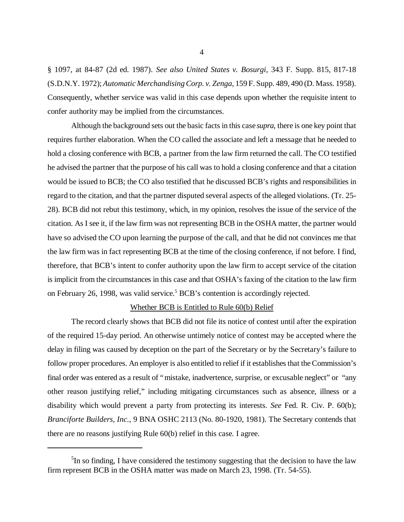§ 1097, at 84-87 (2d ed. 1987). *See also United States v. Bosurgi*, 343 F. Supp. 815, 817-18 (S.D.N.Y. 1972); *Automatic Merchandising Corp. v. Zenga*, 159 F. Supp. 489, 490 (D. Mass. 1958). Consequently, whether service was valid in this case depends upon whether the requisite intent to confer authority may be implied from the circumstances.

Although the background sets out the basic facts in this case *supra*, there is one key point that requires further elaboration. When the CO called the associate and left a message that he needed to hold a closing conference with BCB, a partner from the law firm returned the call. The CO testified he advised the partner that the purpose of his call was to hold a closing conference and that a citation would be issued to BCB; the CO also testified that he discussed BCB's rights and responsibilities in regard to the citation, and that the partner disputed several aspects of the alleged violations. (Tr. 25- 28). BCB did not rebut this testimony, which, in my opinion, resolves the issue of the service of the citation. As I see it, if the law firm was not representing BCB in the OSHA matter, the partner would have so advised the CO upon learning the purpose of the call, and that he did not convinces me that the law firm was in fact representing BCB at the time of the closing conference, if not before. I find, therefore, that BCB's intent to confer authority upon the law firm to accept service of the citation is implicit from the circumstances in this case and that OSHA's faxing of the citation to the law firm on February 26, 1998, was valid service.<sup>5</sup> BCB's contention is accordingly rejected.

#### Whether BCB is Entitled to Rule 60(b) Relief

The record clearly shows that BCB did not file its notice of contest until after the expiration of the required 15-day period. An otherwise untimely notice of contest may be accepted where the delay in filing was caused by deception on the part of the Secretary or by the Secretary's failure to follow proper procedures. An employer is also entitled to relief if it establishes that the Commission's final order was entered as a result of "mistake, inadvertence, surprise, or excusable neglect" or "any other reason justifying relief," including mitigating circumstances such as absence, illness or a disability which would prevent a party from protecting its interests. *See* Fed. R. Civ. P. 60(b); *Branciforte Builders, Inc.*, 9 BNA OSHC 2113 (No. 80-1920, 1981). The Secretary contends that there are no reasons justifying Rule 60(b) relief in this case. I agree.

 ${}^{5}$ In so finding, I have considered the testimony suggesting that the decision to have the law firm represent BCB in the OSHA matter was made on March 23, 1998. (Tr. 54-55).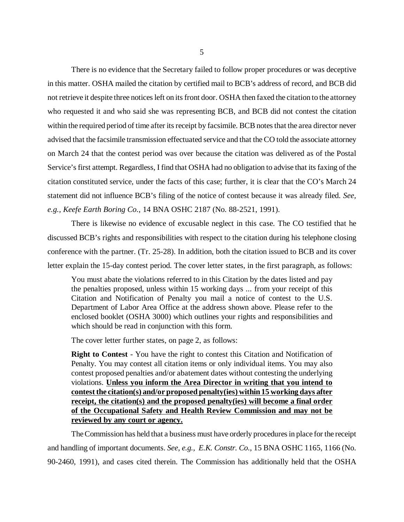There is no evidence that the Secretary failed to follow proper procedures or was deceptive in this matter. OSHA mailed the citation by certified mail to BCB's address of record, and BCB did not retrieve it despite three notices left on its front door. OSHA then faxed the citation to the attorney who requested it and who said she was representing BCB, and BCB did not contest the citation within the required period of time after its receipt by facsimile. BCB notes that the area director never advised that the facsimile transmission effectuated service and that the CO told the associate attorney on March 24 that the contest period was over because the citation was delivered as of the Postal Service's first attempt. Regardless, I find that OSHA had no obligation to advise that its faxing of the citation constituted service, under the facts of this case; further, it is clear that the CO's March 24 statement did not influence BCB's filing of the notice of contest because it was already filed. *See, e.g., Keefe Earth Boring Co.*, 14 BNA OSHC 2187 (No. 88-2521, 1991).

There is likewise no evidence of excusable neglect in this case. The CO testified that he discussed BCB's rights and responsibilities with respect to the citation during his telephone closing conference with the partner. (Tr. 25-28). In addition, both the citation issued to BCB and its cover letter explain the 15-day contest period. The cover letter states, in the first paragraph, as follows:

You must abate the violations referred to in this Citation by the dates listed and pay the penalties proposed, unless within 15 working days ... from your receipt of this Citation and Notification of Penalty you mail a notice of contest to the U.S. Department of Labor Area Office at the address shown above. Please refer to the enclosed booklet (OSHA 3000) which outlines your rights and responsibilities and which should be read in conjunction with this form.

The cover letter further states, on page 2, as follows:

**Right to Contest** - You have the right to contest this Citation and Notification of Penalty. You may contest all citation items or only individual items. You may also contest proposed penalties and/or abatement dates without contesting the underlying violations. **Unless you inform the Area Director in writing that you intend to contest the citation(s) and/or proposed penalty(ies) within 15 working days after receipt, the citation(s) and the proposed penalty(ies) will become a final order of the Occupational Safety and Health Review Commission and may not be reviewed by any court or agency.**

The Commission has held that a business must have orderly procedures in place for the receipt and handling of important documents. *See, e.g., E.K. Constr. Co.*, 15 BNA OSHC 1165, 1166 (No. 90-2460, 1991), and cases cited therein. The Commission has additionally held that the OSHA